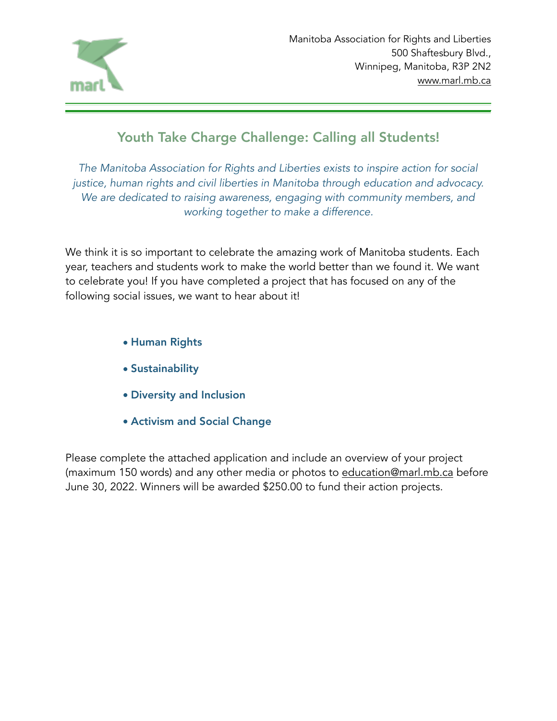

## Youth Take Charge Challenge: Calling all Students!

*The Manitoba Association for Rights and Liberties exists to inspire action for social justice, human rights and civil liberties in Manitoba through education and advocacy. We are dedicated to raising awareness, engaging with community members, and working together to make a difference.* 

We think it is so important to celebrate the amazing work of Manitoba students. Each year, teachers and students work to make the world better than we found it. We want to celebrate you! If you have completed a project that has focused on any of the following social issues, we want to hear about it!

- Human Rights
- Sustainability
- Diversity and Inclusion
- Activism and Social Change

Please complete the attached application and include an overview of your project (maximum 150 words) and any other media or photos to [education@marl.mb.ca](mailto:education@marl.mb.ca) before June 30, 2022. Winners will be awarded \$250.00 to fund their action projects.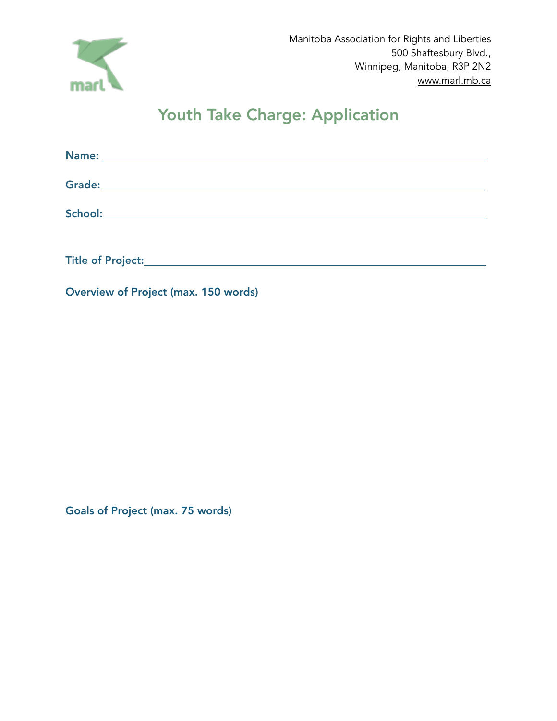

## Youth Take Charge: Application

| Grade: <u>Andrea Andrew American American American American American American American American American American<br/>American American American American American American American American American American American American Am</u> |  |  |
|------------------------------------------------------------------------------------------------------------------------------------------------------------------------------------------------------------------------------------------|--|--|
| School:<br><u> 1989 - John Stein, mars and de Branch and de Branch and de Branch and de Branch and de Branch and de Branch an</u>                                                                                                        |  |  |
| Title of Project:                                                                                                                                                                                                                        |  |  |

Overview of Project (max. 150 words)

Goals of Project (max. 75 words)